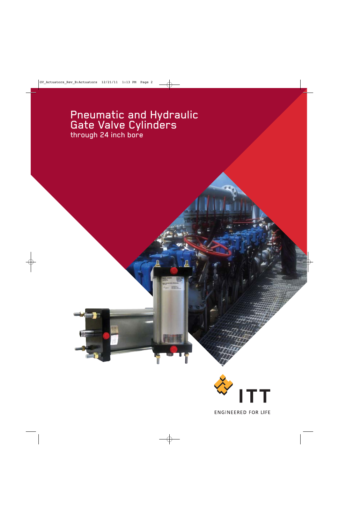# Pneumatic and Hydraulic Gate Valve Cylinders through 24 inch bore



**ENGINEERED FOR LIFE**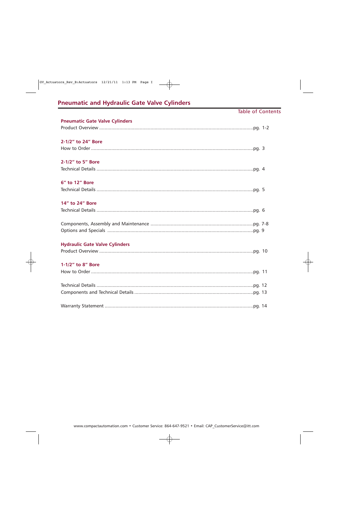## **Pneumatic and Hydraulic Gate Valve Cylinders**

### **Table of Contents**

| <b>Pneumatic Gate Valve Cylinders</b> |  |
|---------------------------------------|--|
|                                       |  |
| 2-1/2" to 24" Bore                    |  |
|                                       |  |
| 2-1/2" to 5" Bore                     |  |
|                                       |  |
| 6" to 12" Bore                        |  |
|                                       |  |
| 14" to 24" Bore                       |  |
|                                       |  |
|                                       |  |
|                                       |  |
| <b>Hydraulic Gate Valve Cylinders</b> |  |
|                                       |  |
| 1-1/2" to 8" Bore                     |  |
|                                       |  |
|                                       |  |
|                                       |  |
|                                       |  |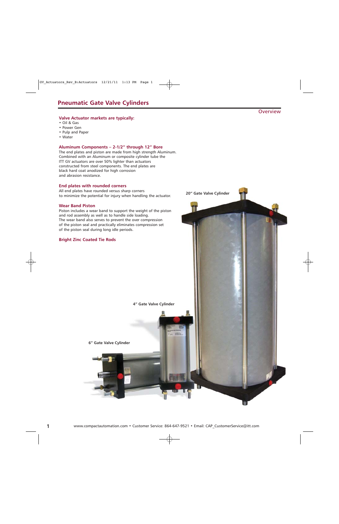### **Valve Actuator markets are typically:**

- Oil & Gas
- Power Gen
- Pulp and Paper
- Water

### **Aluminum Components – 2-1/2" through 12" Bore**

The end plates and piston are made from high strength Aluminum. Combined with an Aluminum or composite cylinder tube the ITT GV actuators are over 50% lighter than actuators constructed from steel components. The end plates are black hard coat anodized for high corrosion and abrasion resistance.

### **End plates with rounded corners**

All end plates have rounded versus sharp corners to minimize the potential for injury when handling the actuator.

### **Wear Band Piston**

Piston includes a wear band to support the weight of the piston and rod assembly as well as to handle side loading. The wear band also serves to prevent the over compression of the piston seal and practically eliminates compression set of the piston seal during long idle periods.

### **Bright Zinc Coated Tie Rods**



**20" Gate Valve Cylinder**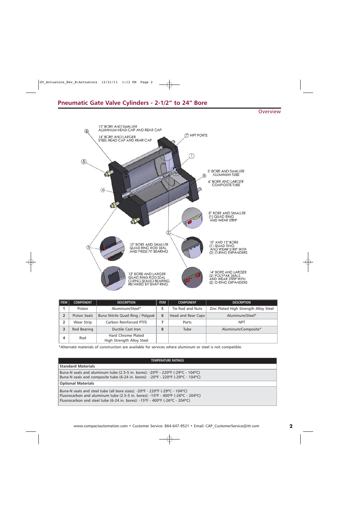### **Pneumatic Gate Valve Cylinders - 2-1/2" to 24" Bore**

**Overview** 



| i item | <b>COMPONENT</b> | <b>DESCRIPTION</b>                              | <b>ITEM</b> | <b>COMPONENT</b>   | <b>DESCRIPTION</b>                    |
|--------|------------------|-------------------------------------------------|-------------|--------------------|---------------------------------------|
|        | Piston           | Aluminum/Steel*                                 |             | Tie Rod and Nuts   | Zinc Plated High Strength Alloy Steel |
|        | Piston Seals     | Buna Nitrile Quad RIng / Polypak                | 6           | Head and Rear Caps | Aluminum/Steel*                       |
|        | Wear Strip       | Carbon Reinforced PTFE                          |             | Ports              | <b>NPT</b>                            |
|        | Rod Bearing      | Ductile Cast Iron                               | 8           | Tube               | Aluminum/Composite*                   |
| 4      | Rod              | Hard Chrome Plated<br>High Strength Alloy Steel |             |                    |                                       |

\*Alternate materials of construction are available for services where aluminum or steel is not compatible.

### **TEMPERATURE RATINGS**

Buna-N seals and aluminum tube (2.5-5 in. bores): -20ºF - 220ºF (-29ºC - 104ºC) Buna-N seals and composite tube (6-24 in. bores): -20ºF - 220ºF (-29ºC - 104ºC)

### **Optional Materials**

**Standard Materials**

Buna-N seals and steel tube (all bore sizes): -20ºF - 220ºF (-29ºC - 104ºC) Fluorocarbon and aluminum tube (2.5-5 in. bores): -15ºF - 400ºF (-26ºC - 204ºC) Fluorocarbon and steel tube (6-24 in. bores): -15ºF - 400ºF (-26ºC - 204ºC)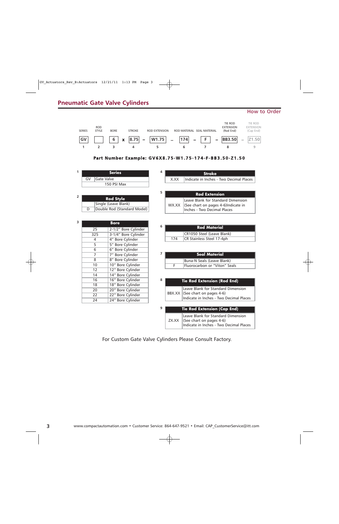## **Pneumatic Gate Valve Cylinders**

### How to Order



### **Part Number Example: GV6X8.75-W1.75-174-F-BB3.50-Z1.50**

| 1              |                  | <b>Series</b>               | 4              |       | <b>Stroke</b>                           |
|----------------|------------------|-----------------------------|----------------|-------|-----------------------------------------|
|                | Gate Valve<br>GV |                             |                | X.XX  | Indicate in Inches - Two Decimal Places |
|                |                  | 150 PSI Max                 |                |       |                                         |
|                |                  |                             | 5              |       |                                         |
| $\overline{2}$ |                  | <b>Rod Style</b>            |                |       | <b>Rod Extension</b>                    |
|                |                  |                             |                |       | Leave Blank for Standard Dimension      |
|                |                  | Single (Leave Blank)        |                | WX.XX | (See chart on pages 4-6)Indicate in     |
|                | D                | Double Rod (Standard Model) |                |       | Inches - Two Decimal Places             |
|                |                  |                             |                |       |                                         |
| 3              |                  | <b>Bore</b>                 |                |       |                                         |
|                | 25               | 2-1/2" Bore Cylinder        | 6              |       | <b>Rod Material</b>                     |
|                | 325              | 3-1/4" Bore Cylinder        |                |       | CR1050 Steel (Leave Blank)              |
|                | 4                | 4" Bore Cylinder            |                | 174   | CR Stainless Steel 17-4ph               |
|                | $\overline{5}$   | 5" Bore Cylinder            |                |       |                                         |
|                | 6                | 6" Bore Cylinder            |                |       |                                         |
|                | $\overline{7}$   | 7" Bore Cylinder            | $\overline{ }$ |       | <b>Seal Material</b>                    |
|                | 8                | 8" Bore Cylinder            |                |       | Buna-N Seals (Leave Blank)              |
|                | 10               | 10" Bore Cylinder           |                | F     | Fluorocarbon or "Viton" Seals           |
|                | 12               | 12" Bore Cylinder           |                |       |                                         |
|                | 14               | 14" Bore Cylinder           |                |       |                                         |
|                | 16               | 16" Bore Cylinder           | 8              |       | <b>Tie Rod Extension (Rod End)</b>      |
|                | 18               | 18" Bore Cylinder           |                |       |                                         |
|                | 20               | 20" Bore Cylinder           |                |       | Leave Blank for Standard Dimension      |
|                | 22               | 22" Bore Cylinder           |                |       | BBX.XX (See chart on pages 4-6)         |
|                | 24               | 24" Bore Cylinder           |                |       | Indicate in Inches - Two Decimal Places |
|                |                  |                             | 9              |       |                                         |
|                |                  |                             |                |       | <b>Tie Rod Extension (Cap End)</b>      |
|                |                  |                             |                |       | Leave Blank for Standard Dimension      |
|                |                  |                             |                | ZX.XX | (See chart on pages 4-6)                |

For Custom Gate Valve Cylinders Please Consult Factory.

Indicate in Inches - Two Decimal Places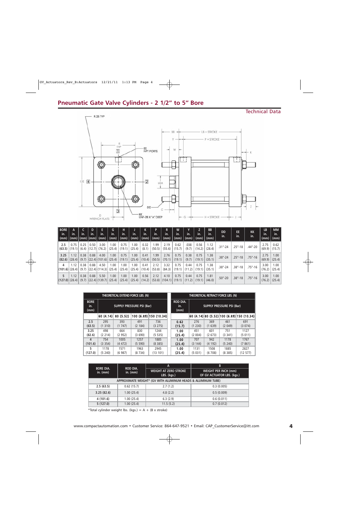## **Pneumatic Gate Valve Cylinders - 2 1/2" to 5" Bore**

### Technical Data R.25 TYP RR  $LB + STROKE$  $P + STROKE$  $\frac{\mathsf{R}}{\mathsf{I}\mathsf{Y}\mathsf{P}}$ -EE<br>NPT PORTS W  $\boxed{\text{I}}$  $\mathbf{K}$ Œ  $E = \boxed{4}$  $-2$ MM  $\circledcirc$  $\mathbf \Theta$ DD  $\overline{3}$ C -KK<br>UNF-2B X "A" DEEP E<br>WRENCH FLATS  $H + STROKE$  $\mathbb{G}$  -

| <b>BORE</b><br>in.<br>(mm) | in.                                                    | in.  | in.  | in.<br>  (mm)   (mm)   (mm)    (mm) | G<br>in.<br>(mm)                                       | н<br>in.<br>(mm) | in.            | к<br>in.<br>$(mm)$ $(mm)$ $(mm)$ | in.            | R<br>in.<br>(mm)                                                        | W<br>in.<br>(mm) | in.<br>(mm)    | in.<br>∣ (mm) ∣ | <b>BB</b><br>in.<br>(mm) | <b>DD</b><br>in.         | EE.<br>in.   | <b>KK</b><br>In. | <b>LB</b><br>in.<br>(mm) | <b>MM</b><br>in.<br>(mm)  |
|----------------------------|--------------------------------------------------------|------|------|-------------------------------------|--------------------------------------------------------|------------------|----------------|----------------------------------|----------------|-------------------------------------------------------------------------|------------------|----------------|-----------------|--------------------------|--------------------------|--------------|------------------|--------------------------|---------------------------|
| 2.5                        | 0.75<br>$(63.5)$ $(19.1)$ $(6.4)$ $(12.7)$ $(76.2)$    | 0.25 | 0.50 | 3.00                                | 1.00<br>(25.4)                                         | 0.75<br> (19.1)  | 1.00<br>(25.4) | 0.32<br>(8.1)                    | 1.99<br>(50.5) | 2.19<br>(55.6)                                                          | 0.62<br>(15.7)   | .038<br>(9.7)  | 0.56<br>(14.2)  | 1.12<br>(28.4)           | .31"-24                  | $.25 - 18$   | .44"-20          | 2.75                     | 0.62<br>$(69.9)$ $(15.7)$ |
| 3.25                       | 1.12<br>$(82.6)$ $(28.4)$                              | 0.38 | 0.88 | 4.00                                | 1.00<br>$(9.7)$ $(22.4)$ $(101.6)$ $(25.4)$            | 0.75<br>(19.1)   | 1.00           | 0.41<br>$(25.4)$ (10.4)          | 1.99<br>(50.5) | 2.76<br>(70.1)                                                          | 0.75<br>(19.1)   | 0.38<br>(9.7)  | 0.75<br>(19.1)  | 1.38<br>(35.1)           | $.38'' - 24$             | $.25 - 18$   | $.75 - 16$       | 2.75<br>(69.9)           | 1.00<br>(25.4)            |
| 4                          | 1.12<br>$ (101.6) (28.4) (9.7) (22.4) (114.3) (25.4) $ | 0.38 | 0.88 | 4.50                                | 1.00                                                   | 1.00<br>(25.4)   | 1.00           | 0.41<br>$(25.4)$ (10.4)          | 2.12<br>(53.8) | 3.32<br>(84.3)                                                          | 0.75<br>(19.1)   | 0.44<br>(11.2) | 0.75<br> (19.1) | 1.38<br>(35.1)           | .38"-24                  | $.38'' - 18$ | .75"-16          | 3.00<br>(76.2)           | 1.00<br>(25.4)            |
| 5.                         | 1.12                                                   | 0.38 | 0.88 | 5.50                                | 1.00<br>$ (127.0) (28.4) (9.7) (22.4) (139.7) (25.4) $ | 1.00<br>(25.4)   | 1.00           | 0.56                             | 2.12           | 4.10<br>$(25.4)$ $(14.2)$ $(53.8)$ $(104.1)$ $(19.1)$ $(11.2)$ $(19.1)$ | 0.75             | 0.44           | 0.75            | 1.81<br>(46.0)           | $.50^{\prime\prime}$ -20 | $.38'' - 18$ | $.75 - 16$       | 3.00<br>(76.2)           | 1.00<br>(25.4)            |

|                            |         |                     | THEORETICAL EXTEND FORCE LBS. (N) |                        | THEORETICAL RETRACT FORCE LBS. (N) |         |                                  |          |                                            |  |
|----------------------------|---------|---------------------|-----------------------------------|------------------------|------------------------------------|---------|----------------------------------|----------|--------------------------------------------|--|
| <b>BORE</b><br>in.<br>(mm) |         |                     | <b>SUPPLY PRESSURE PSI (Bar)</b>  |                        | <b>ROD DIA.</b><br>in.<br>(mm)     |         | <b>SUPPLY PRESSURE PSI (Bar)</b> |          |                                            |  |
|                            |         | 60 (4.14) 80 (5.52) |                                   | 100 (6.89) 150 (10.34) |                                    |         |                                  |          | 60 (4.14) 80 (5.52) 100 (6.89) 150 (10.34) |  |
| 2.5                        | 295     | 393                 | 491                               | 736                    | 0.62                               | 276     | 369                              | 461      | 691                                        |  |
| (63.5)                     | (1310)  | (1747)              | (2 184)                           | (3 275)                | (15.7)                             | (1 230) | (1639)                           | (2 049)  | (3074)                                     |  |
| 3.25                       | 498     | 664                 | 830                               | 1244                   | 1.00                               | 451     | 601                              | 751      | 1127                                       |  |
| (82.6)                     | (2 214) | (2952)              | (3690)                            | (5535)                 | (25.4)                             | (2 004) | (2673)                           | (3341)   | (5011)                                     |  |
| 4                          | 754     | 1005                | 1257                              | 1885                   | 1.00                               | 707     | 942                              | 1178     | 1767                                       |  |
| (101.6)                    | (3354)  | (4472)              | (5 590)                           | (8385)                 | (25.4)                             | (3144)  | (4192)                           | (5, 240) | (7861)                                     |  |
| 5                          | 1178    | 1571                | 1963                              | 2945                   | 1.00                               | 1131    | 1508                             | 1885     | 2827                                       |  |
| (127.0)                    | (5240)  | (6987)              | (8734)                            | (13101)                | (25.4)                             | (5031)  | (6708)                           | (8385)   | (12577)                                    |  |

| <b>BORE DIA.</b> | <b>ROD DIA.</b> | A                                                            | B                                                         |
|------------------|-----------------|--------------------------------------------------------------|-----------------------------------------------------------|
| in. $(mm)$       | in. $(mm)$      | <b>WEIGHT AT ZERO STROKE</b><br>LBS. (kgs.)                  | <b>WEIGHT PER INCH (mm)</b><br>OF GV ACTUATOR LBS. (kgs.) |
|                  |                 | APPROXIMATE WEIGHT* (GV WITH ALUMINUM HEADS & ALUMINUM TUBE) |                                                           |
| 2.5(63.5)        | 0.62(15.7)      | 2.7(1.2)                                                     | 0.3(0.005)                                                |
| 3.25(82.6)       | 1.00(25.4)      | 4.8(2.2)                                                     | 0.5(0.009)                                                |
| 4 (101.6)        | 1.00(25.4)      | 6.3(2.9)                                                     | 0.6(0.011)                                                |
| 5(127.0)         | 1.00(25.4)      | 11.5(5.2)                                                    | 0.7(0.012)                                                |

\*Total cylinder weight lbs. (kgs.) =  $A + (B \times \text{stroke})$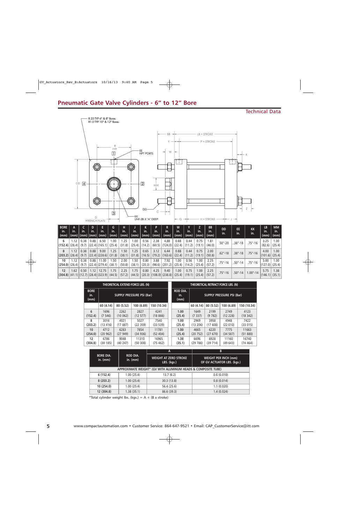### Technical Data



| <b>BORE</b><br>in.<br>(mm)                                | in.  | in.           | in.  | in.<br>(mm) (mm) (mm)  (mm)        | in.<br>(mm) | н<br>in.<br>(mm) | in.<br>(mm)    | in.<br>(mm)    | in.<br>∣ (mm) ∣ | in.<br>(mm)                                            | W<br>lin.<br>(mm) | in.<br>(mm)    | in.<br>(mm)    | <b>BB</b><br>ın.<br>(mm) | <b>DD</b><br>in. | EE.<br>in.   | <b>KK</b><br>in. | <b>LB</b><br>in.<br>(mm) | <b>MM</b><br>$\mathsf{in}$ .<br>$\mid$ (mm) |
|-----------------------------------------------------------|------|---------------|------|------------------------------------|-------------|------------------|----------------|----------------|-----------------|--------------------------------------------------------|-------------------|----------------|----------------|--------------------------|------------------|--------------|------------------|--------------------------|---------------------------------------------|
| 6<br>$\vert$ (152.4) $\vert$ (28.4) $\vert$               | 1.12 | 0.38<br>(9.7) | 0.88 | 6.50<br> (22.4) (165.1) (25.4)     | 1.00        | 1.25<br>(31.8)   | .00<br>(25.4)  | 0.56<br>(14.2) | 2.38            | 4.88<br>$(60.5)$ $(124.0)$ $(22.4)$                    | 0.88              | 0.44<br>(11.2) | 0.75<br>(19.1) | 1.81<br>(46.0)           | $.50 - 20$       | $.38'' - 18$ | .75"-16          | 3.25<br>(82.6)           | 1.00<br>(25.4)                              |
| 8<br>$(203.2)$ (28.4)                                     | 1.12 | 0.38<br>(9.7) | 0.88 | 9.00<br>$ (22.4) (228.6) $ (31.8)  | 1.25        | 1.50<br>(38.1)   | 1.25<br>(31.8) | 0.65<br>(16.5) | 3.12            | 6.44<br>$(79.2)$ $(163.6)$ $(22.4)$                    | 0.88              | 0.44<br>(11.2) | 0.75<br>(19.1) | 2.00<br>(50.8)           | $.62'' - 18$     | $.38'' - 18$ | $.75 - 16$       | 4.00<br>$(101.6)$ (25.4) | 1.00                                        |
| 10<br>$(254.0)$ (28.4)                                    | 1.12 | 0.38<br>(9.7) | 0.88 | 11.00<br>$ (22.4) (279.4) $ (38.1) | 1.50        | 2.00<br>(50.8)   | 1.50<br>(38.1) | 0.80<br>(20.3) | 3.88            | 7.92<br>$(98.6)$ $(201.2)$ $(25.4)$                    | 1.00              | 0.56<br>(14.2) | 1.00<br>(25.4) | 2.25<br>(57.2)           | .75"-16          | $.50 - 14$   | $.75 - 16$       | 5.00                     | 1.00<br>$(127.0)$ (25.4)                    |
| 12<br>$ (304.8)  (41.1)  (12.7)  (28.4)  (323.9)  (44.5)$ | 1.62 | 0.50          | 1.12 | 12.75                              | 1.75        | 2.25<br>(57.2)   | 1.75           | 0.80           | 4.25            | 9.40<br>$(44.5)$ $(20.3)$ $(108.0)$ $(238.8)$ $(25.4)$ | 1.00              | 0.75<br>(19.1) | 1.00<br>(25.4) | 2.25<br>(57.2)           | $.75 - 16$       | $.50 - 14$   | $1.00 - 14$      | 5.75<br>$(146.1)$ (35.1) | 1.38                                        |

|                            |           |          | THEORETICAL EXTEND FORCE LBS. (N) |             | THEORETICAL RETRACT FORCE LBS. (N) |                                |           |           |                                  |             |  |
|----------------------------|-----------|----------|-----------------------------------|-------------|------------------------------------|--------------------------------|-----------|-----------|----------------------------------|-------------|--|
| <b>BORE</b><br>in.<br>(mm) |           |          | <b>SUPPLY PRESSURE PSI (Bar)</b>  |             |                                    | <b>ROD DIA.</b><br>in.<br>(mm) |           |           | <b>SUPPLY PRESSURE PSI (Bar)</b> |             |  |
|                            | 60 (4.14) | 80(5.52) | 100 (6.89)                        | 150 (10.34) |                                    |                                | 60 (4.14) | 80 (5.52) | 100 (6.89)                       | 150 (10.34) |  |
| 6                          | 1696      | 2262     | 2827                              | 4241        |                                    | 1.00                           | 1649      | 2199      | 2749                             | 4123        |  |
| (152.4)                    | (7546)    | (10062)  | (12577)                           | (18, 866)   |                                    | (25.4)                         | (7337)    | (9782)    | (12 228)                         | (18342)     |  |
| 8                          | 3016      | 4021     | 5027                              | 7540        |                                    | 1.00                           | 2969      | 3958      | 4948                             | 7422        |  |
| (203.2)                    | (13 416)  | (17887)  | (22359)                           | (33 539)    |                                    | (25.4)                         | (13 206)  | (17608)   | (22 010)                         | (33 015)    |  |
| 10                         | 4712      | 6283     | 7854                              | 11781       |                                    | 1.00                           | 4665      | 6220      | 7775                             | 11663       |  |
| (254.0)                    | (20962)   | (27949)  | (34936)                           | (52, 404)   |                                    | (25.4)                         | (20752)   | (27 670)  | (34 587)                         | (51 880)    |  |
| 12                         | 6786      | 9048     | 11310                             | 16965       |                                    | 1.38                           | 6696      | 8928      | 11160                            | 16740       |  |
| (304.8)                    | (30 185)  | (40247)  | (50308)                           | (75462)     |                                    | (35.1)                         | (29786)   | (39714)   | (49643)                          | (74464)     |  |

|                                |                               | A                                                             | В                                                         |
|--------------------------------|-------------------------------|---------------------------------------------------------------|-----------------------------------------------------------|
| <b>BORE DIA.</b><br>in. $(mm)$ | <b>ROD DIA.</b><br>in. $(mm)$ | <b>WEIGHT AT ZERO STROKE</b><br>LBS. (kgs.)                   | <b>WEIGHT PER INCH (mm)</b><br>OF GV ACTUATOR LBS. (kgs.) |
|                                |                               | APPROXIMATE WEIGHT* (GV WITH ALUMINUM HEADS & COMPOSITE TUBE) |                                                           |
| 6(152.4)                       | 1.00(25.4)                    | 13.7(6.2)                                                     | 0.6(0.010)                                                |
| 8(203.2)                       | 1.00(25.4)                    | 30.3(13.8)                                                    | 0.8(0.014)                                                |
| 10(254.0)                      | 1.00(25.4)                    | 56.4 (25.6)                                                   | 1.1(0.020)                                                |
| 12 (304.8)                     | 1.38(35.1)                    | 86.6 (39.3)                                                   | 1.4(0.024)                                                |

\*Total cylinder weight lbs. (kgs.) =  $A + (B \times \text{stroke})$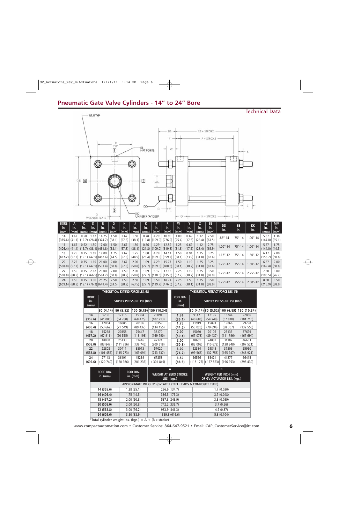## **Pneumatic Gate Valve Cylinders - 14" to 24" Bore**



| <b>BORE</b>                                             |      |      |                             |       | G      | н      |        | к      | P    |                                 | W      |        |        | <b>BB</b> | <b>DD</b>    | EE.        | <b>KK</b>    | LB                 | <b>MM</b> |
|---------------------------------------------------------|------|------|-----------------------------|-------|--------|--------|--------|--------|------|---------------------------------|--------|--------|--------|-----------|--------------|------------|--------------|--------------------|-----------|
| in.                                                     | in.  | Tin. | in.                         | in.   | in.    | in.    | in.    | lin.   | in.  | in.                             | in.    | in.    | Tn.    | In.       | in.          | in.        | in.          | in.                | in.       |
| (mm)                                                    | (mm) |      | $\lfloor(\text{mm})\rfloor$ | (mm)  | (mm)   | (mm)   | (mm)   | (mm)   | (mm) | (mm)                            | (mm)   | (mm)   | (mm)   | (mm)      |              |            |              | (mm)               | (mm)      |
| 14                                                      | 1.62 | 0.50 | 1.12                        | 14.75 | 1.50   | 2.67   | 1.50   | 0.78   | 4.29 | 10.90                           | 1.00   | 0.69   | 1.12   | 2.50      | $.88'' - 14$ | $.75 - 14$ | $1.00 - 14$  | 5.67               | 1.38      |
| $(355.6)$ $(41.1)$ $(12.7)$ $(28.4)$ $(374.7)$          |      |      |                             |       | (38.1) | (67.8) | (38.1) |        |      | (19.8)  (109.0)  (276.9)        | (25.4) | (17.5) | (28.4) | (63.5)    |              |            |              | $(144.0)$ $(35.1)$ |           |
| 16                                                      | 1.62 | 0.62 | 1.50                        | 17.00 | 1.50   | 2.67   | 1.50   | 0.86   | 4.29 | 12.59                           | 1.25   | 0.69   | 1.12   | 2.75      | $1.00 - 14$  | $.75 - 14$ | $1.00 - 14$  | 5.67               | 1.75      |
| $ (406.4) (41.1) (15.7) (38.1) (431.8) (38.1) $         |      |      |                             |       |        | (67.8) | (38.1) |        |      | $(21.8)$ $ (109.0) $ $(319.8) $ | (31.8) | (17.5) | (28.4) | (69.9)    |              |            |              | $(144.0)$ $(44.5)$ |           |
| 18                                                      | 2.25 | 0.75 | 1.69                        | 19.00 | 1.75   | 2.67   | 1.75   | 1.00   | 4.29 | 14.14                           | 1.50   | 0.94   | 1.25   | 3.25      | $1.12" - 12$ | .75"-14    | $1.50 - 12$  | 6.17               | 2.00      |
| $(457.2)$ (57.2) (19.1) (42.9) (482.6)                  |      |      |                             |       | (44.5) | (67.8) | (44.5) |        |      | $(25.4)$ $ (109.0) $ $(359.2)$  | (38.1) | (23.9) | (31.8) | (82.6)    |              |            |              | 156.7              | (50.8)    |
| 20                                                      | 2.25 | 0.75 | 1.69                        | 21.00 | 2.00   | 2.67   | 2.00   | 1.09   | 4.29 | 15.77                           | 1.50   | 1.19   | 1.25   | 3.25      | $1.25 - 12$  | $.75 - 14$ | $1.50 - 12$  | 6.67               | 2.00      |
| $(508.0)$ $(57.2)$ $(19.1)$ $(42.9)$ $(533.4)$ $(50.8)$ |      |      |                             |       |        | (67.8) | (50.8) |        |      | $(27.7)$ $ (109.0) $ $(400.6)$  | (38.1) | (30.2) | (31.8) | (82.6)    |              |            |              | (169.4)            | (50.8)    |
| 22                                                      | 3.50 | 0.75 | 2.62                        | 23.00 | 2.00   | 3.50   | 2.00   | 1.09   | 5.12 | 17.15                           | 2.25   | 1.19   | 1.25   | 3.50      | $1.25 - 12$  | $.75 - 14$ | $2.25" - 12$ | 7.50               | 3.00      |
| $(558.8)$ $(88.9)$ $(19.1)$ $(66.5)$ $(584.2)$ $(50.8)$ |      |      |                             |       |        | (88.9) | (50.8) | (27.7) |      | $ (130.0) $ (435.6)             | (57.2) | (30.2) | (31.8) | (88.9)    |              |            |              | $ 190.5\rangle$    | (76.2)    |
| 24                                                      | 3.50 | 0.75 | 3.00                        | 25.25 | 2.50   | 3.50   | 2.50   | 1.09   | 5.50 | 18.74                           | 2.25   | 1.50   | 1.25   | 3.50      | $1.25 - 12$  | $.75 - 14$ | $2.50 - 12$  | 8.50               | 3.50      |
| $ (609.6) (88.9) (19.1) (76.2) (641.4) (63.5) $         |      |      |                             |       |        | (88.9) | (63.5) |        |      | $(27.7)$ $ (139.7) $ $(476.0) $ | (57.2) | (38.1) | (31.8) | (88.9)    |              |            |              | (215.9)            | (88.9)    |

|                            |           |           | THEORETICAL EXTEND FORCE LBS. (N) |                        | THEORETICAL RETRACT FORCE LBS. (N) |          |                                  |                                |             |  |
|----------------------------|-----------|-----------|-----------------------------------|------------------------|------------------------------------|----------|----------------------------------|--------------------------------|-------------|--|
| <b>BORE</b><br>in.<br>(mm) |           |           | <b>SUPPLY PRESSURE PSI (Bar)</b>  |                        | <b>ROD DIA.</b><br>in.<br>(mm)     |          | <b>SUPPLY PRESSURE PSI (Bar)</b> |                                |             |  |
|                            | 60 (4.14) | 80 (5.52) |                                   | 100 (6.89) 150 (10.34) |                                    |          |                                  | 60 (4.14) 80 (5.52) 100 (6.89) | 150 (10.34) |  |
| 14                         | 9236      | 12315     | 15394                             | 23091                  | 1.38                               | 9147     | 12195                            | 15244                          | 22866       |  |
| (355.6)                    | (41085)   | (54780)   | (68475)                           | (102713)               | (35.1)                             | (40686)  | (54248)                          | (67 810)                       | (101715)    |  |
| 16                         | 12064     | 16085     | 20106                             | 30159                  | 1.75                               | 11919    | 15893                            | 19866                          | 29798       |  |
| (406.4)                    | (53662)   | (71549)   | (89, 437)                         | (134155)               | (44.5)                             | (53 020) | (70694)                          | (88367)                        | (132 550)   |  |
| 18                         | 15268     | 20358     | 25447                             | 38170                  | 2.00                               | 15080    | 20106                            | 25133                          | 37699       |  |
| (457.2)                    | (67916)   | (90 555)  | (113 193)                         | (169790)               | (50.8)                             | (67078)  | (89, 437)                        | (111796)                       | (167694)    |  |
| 20                         | 18850     | 25133     | 31416                             | 47124                  | 2.00                               | 18661    | 24881                            | 31102                          | 46653       |  |
| (508.0)                    | (83 847)  | (111796)  | (139 745)                         | (209618)               | (50.8)                             | (83009)  | (110678)                         | (138 348)                      | (207 521)   |  |
| 22                         | 22808     | 30411     | 38013                             | 57020                  | 3.00                               | 22384    | 29845                            | 37306                          | 55960       |  |
| (558.8)                    | (101455)  | (135 273) | (169091)                          | (253637)               | (76.2)                             | (99 568) | (132 758)                        | (165947)                       | (248921)    |  |
| 24                         | 27143     | 36191     | 45239                             | 67858                  | 3.50                               | 26566    | 35421                            | 44277                          | 66415       |  |
| (609.6)                    | (120740)  | (160986)  | (201 233)                         | 301 849)               | (88.9)                             | (118172) | (157563)                         | (196953)                       | (295 430)   |  |

|                                |                               | A                                                          | B                                                         |
|--------------------------------|-------------------------------|------------------------------------------------------------|-----------------------------------------------------------|
| <b>BORE DIA.</b><br>$in.$ (mm) | <b>ROD DIA.</b><br>in. $(mm)$ | <b>WEIGHT AT ZERO STROKE</b><br>LBS. (kgs.)                | <b>WEIGHT PER INCH (mm)</b><br>OF GV ACTUATOR LBS. (kgs.) |
|                                |                               | APPROXIMATE WEIGHT* (GV WITH STEEL HEADS & COMPOSITE TUBE) |                                                           |
| 14 (355.6)                     | 1.38(35.1)                    | 296.9 (134.7)                                              | 1.7(0.030)                                                |
| 16 (406.4)                     | 1.75(44.5)                    | 386.5 (175.3)                                              | 2.7(0.048)                                                |
| 18 (457.2)                     | 2.00(50.8)                    | 537.8 (243.9)                                              | 3.3(0.059)                                                |
| 20(508.0)                      | 2.00(50.8)                    | 742.2 (336.7)                                              | 3.7(0.66)                                                 |
| 22 (558.8)                     | 3.00(76.2)                    | 983.9 (446.3)                                              | 4.9(0.87)                                                 |
| 24 (609.6)                     | 3.50(88.9)                    | 1359.3 (616.6)                                             | 5.8(0.104)                                                |

\*Total cylinder weight lbs. (kgs.) =  $A + (B \times \text{stroke})$ 

www.compactautomation.com • Customer Service: 864-647-9521 • Email: CAP\_CustomerService@itt.com **6**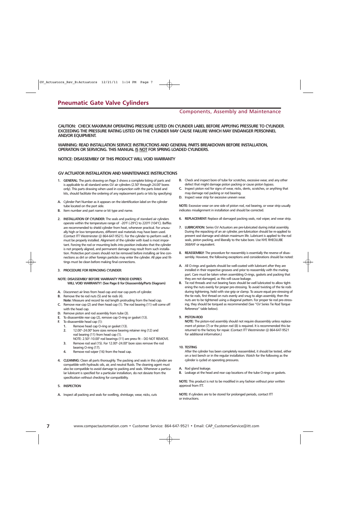### Components, Assembly and Maintenance

**CAUTION: CHECK MAXIMUM OPERATING PRESSURE LISTED ON CYLINDER LABEL BEFORE APPLYING PRESSURE TO CYLINDER. EXCEEDING THE PRESSURE RATING LISTED ON THE CYLINDER MAY CAUSE FAILURE WHICH MAY ENDANGER PERSONNEL AND/OR EQUIPMENT.**

**WARNING: READ INSTALLATION SERVICE INSTRUCTIONS AND GENERAL PARTS BREAKDOWN BEFORE INSTALLATION, OPERATION OR SERVICING. THIS MANUAL IS NOT FOR SPRING LOADED CYLINDERS.** 

#### **NOTICE: DISASSEMBLY OF THIS PRODUCT WILL VOID WARRANTY**

### **GV ACTUATOR INSTALLATION AND MAINTENANCE INSTRUCTIONS**

- **1. GENERAL:** The parts drawing on Page 3 shows a complete listing of parts and is applicable to all standard series GV air cylinders (2.50" through 24.00" bores only). This parts drawing when used in conjunction with the parts listed and kits, should facilitate the ordering of any replacement parts or kits by specifying:
- **A.** Cylinder Part Number as it appears on the identification label on the cylinder tube located on the port side.
- **B.** Item number and part name or kit type and name.
- **2. INSTALLATION OF CYLINDER:** The seals and packing of standard air cylinders operate within the temperature range of -20°F (-29°C) to 220°F (104°C). Baffles are recommended to shield cylinder from heat, whenever practical. For unusually high or low temperatures, different seal materials may have been used. (Contact ITT Westminster @ 864-647-9521). For the cylinder to perform well, it must be properly installed. Alignment of the cylinder with load is most important. Forcing the rod or mounting bolts into position indicates that the cylinder is not properly aligned, and permanent damage may result from such installation. Protective port covers should not be removed before installing air line connections as dirt or other foreign particles may enter the cylinder. All pipe and fittings must be clean before making final connections.

#### **3. PROCEDURE FOR REPACKING CYLINDER:**

#### **NOTE: DISASSEMBLY BEFORE WARRANTY PERIOD EXPIRES WILL VOID WARRANTY! (See Page 8 for Disassembly/Parts Diagram)**

- **A.** Disconnect air lines from head cap and rear cap ports of cylinder.
- **B.** Remove the tie rod nuts (5) and tie rods (4).
- **Note:** Measure and record tie rod length protruding from the head cap. **C.** Remove rear cap (2) and then head cap (1). The rod bearing (11) will come off
- with the head cap. **D.** Remove piston and rod assembly from tube (3).
- **E.** To disassemble rear cap (2), remove cap O-ring or gasket (13).
- **F.** To disassemble head cap (1):
	- **1.** Remove head cap O-ring or gasket (13).
		- **2.** 12.00"–24.00" bore sizes remove bearing retainer ring (12) and rod bearing (11) from head cap (1).
		- NOTE: 2.50"–10.00" rod bearings (11) are press fit DO NOT REMOVE. **3.** Remove rod seal (15). For 12.00"–24.00" bore sizes remove the rod bearing O-ring (17).
		- **4.** Remove rod wiper (16) from the head cap.
- **4. CLEANING:** Clean all parts thoroughly. The packing and seals in this cylinder are compatible with hydraulic oils, air, and neutral fluids. The cleaning agent must also be compatible to avoid damage to packing and seals. Whenever a particular lubricant is specified for a particular installation, do not deviate from the specification without checking for compatibility.
- **5. INSPECTION**
- **A.** Inspect all packing and seals for swelling, shrinkage, wear, nicks, cuts
- **B.** Check and inspect bore of tube for scratches, excessive wear, and any other defect that might damage piston packing or cause piston bypass.
- **C.** Inspect piston rod for signs of wear, nicks, dents, scratches, or anything that may damage rod packing or rod bearing.
- **D.** Inspect wear strip for excessive uneven wear.

**NOTE:** Excessive wear on one side of piston rod, rod bearing, or wear strip usually indicates misalignment in installation and should be corrected.

- **6. REPLACEMENT:** Replace all damaged packing seals, rod wiper, and wear strip.
- **7. LUBRICATION:** Series GV Actuators are pre-lubricated during initial assembly. During the repacking of an air cylinder, pre-lubrication should be re-applied to prevent seal damage and obtain maximum life. Lubricant is applied to the rod seals, piston packing, and liberally to the tube bore. Use NYE RHEOLUBE 368AXF or equivalent.
- **8. REASSEMBLY:** The procedure for reassembly is essentially the reverse of disassembly. However, the following exceptions and considerations should be noted:
- **A.** All O-rings and gaskets should be well-coated with lubricant after they are installed in their respective grooves and prior to reassembly with the mating part. Care must be taken when assembling O-rings, gaskets and packing that they are not damaged, as this will cause leakage.
- **B.** Tie rod threads and nut bearing faces should be well lubricated to allow tightening the nuts evenly for proper pre-stressing. To avoid twisting of the tie rods during tightening, hold with vise grip or clamp. To assure equal pre-stressing of the tie rods, first thread on nuts evenly and snug to align assembly, then the nuts are to be tightened using a diagonal pattern. For proper tie rod pre-stressing, they should be torqued as recommended (See "GV Series Tie Rod Torque Reference" table below).

#### **9. PISTON-ROD**

**NOTE:** The piston-rod assembly should not require disassembly unless replacement of piston (7) or the piston rod (8) is required. It is recommended this be returned to the factory for repair. (Contact ITT Westminster @ 864-647-9521 for additional information.)

**10. TESTING**

After the cylinder has been completely reassembled, it should be tested, either on a test bench or in the regular installation. Watch for the following as the cylinder is cycled at operating pressures.

**A.** Rod gland leakage.

**B.** Leakage at the head and rear cap locations of the tube O-rings or gaskets.

**NOTE:** This product is not to be modified in any fashion without prior written approval from ITT.

**NOTE:** If cylinders are to be stored for prolonged periods, contact ITT or instructions.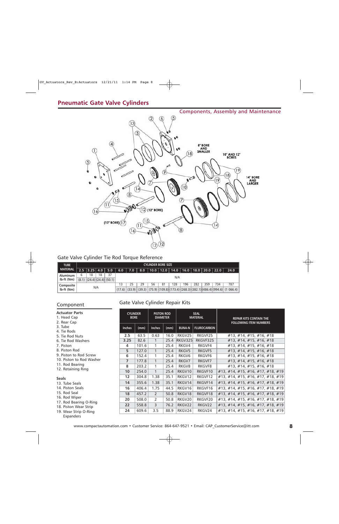## **Pneumatic Gate Valve Cylinders**



### Gate Valve Cylinder Tie Rod Torque Reference

| <b>TUBE</b>     | <b>CYLINDER BORE SIZE</b> |    |     |                                     |        |     |                   |    |    |     |     |     |     |                                                    |                                                                                                   |
|-----------------|---------------------------|----|-----|-------------------------------------|--------|-----|-------------------|----|----|-----|-----|-----|-----|----------------------------------------------------|---------------------------------------------------------------------------------------------------|
| <b>MATERIAL</b> |                           |    |     | $12.5$ $ 3.25 $ $4.0$ $ $ $5.0$ $ $ | 6.0    | 7.0 | $\vert 8.0 \vert$ |    |    |     |     |     |     | │   10.0   12.0   14.0   16.0   18.0   20.0   22.0 | 24.0                                                                                              |
| <b>Aluminum</b> | 6                         | 18 | 18  | 37                                  |        |     |                   |    |    |     |     |     |     |                                                    |                                                                                                   |
| lb-ft (Nm)      |                           |    |     | $(8.1)$ $(24.4)$ $(24.4)$ $(50.1)$  |        | N/A |                   |    |    |     |     |     |     |                                                    |                                                                                                   |
| Composite       |                           |    |     |                                     |        | 25  | 29                | 56 | 81 | 128 | 196 | 282 | 359 | 734                                                | 787                                                                                               |
| lb-ft (Nm)      |                           |    | N/A |                                     | (17.6) |     |                   |    |    |     |     |     |     |                                                    | $(33.9)$ $(39.3)$ $(75.9)$ $(109.8)$ $(173.4)$ $(268.3)$ $(382.1)$ $(486.4)$ $(994.6)$ $(1066.4)$ |

## Gate Valve Cylinder Repair Kits Component

| <b>Actuator Parts</b><br>1. Head Cap<br>2. Rear Cap | <b>CYLINDER</b><br><b>BORE</b> |       | <b>PISTON ROD</b><br><b>DIAMETER</b> |      | <b>SEAL</b><br><b>MATERIAL</b> |                    | <b>REPAIR KITS CONTAIN THE</b>    |  |
|-----------------------------------------------------|--------------------------------|-------|--------------------------------------|------|--------------------------------|--------------------|-----------------------------------|--|
| 3. Tube<br>4. Tie Rods                              | <b>Inches</b>                  | (mm)  | <b>Inches</b>                        | (mm) | <b>BUNA-N</b>                  | <b>FLUROCARBON</b> | <b>FOLLOWING ITEM NUMBERS</b>     |  |
| 5. Tie Rod Nuts                                     | 2.5                            | 63.5  | 0.63                                 | 16.0 | RKGV25                         | RKGVF25            | $\#13, \#14, \#15, \#16, \#18$    |  |
| 6. Tie Rod Washers                                  | 3.25                           | 82.6  | 1                                    | 25.4 | RKGV325                        | RKGVF325           | #13, #14, #15, #16, #18           |  |
| 7. Piston                                           | 4                              | 101.6 | 1                                    | 25.4 | RKGV4                          | RKGVF4             | #13, #14, #15, #16, #18           |  |
| 8. Piston Rod                                       | 5                              | 127.0 | $\mathbf{1}$                         | 25.4 | RKGV5                          | RKGVF5             | #13, #14, #15, #16, #18           |  |
| 9. Piston to Rod Screw                              | 6                              | 152.4 | 1                                    | 25.4 | RKGV6                          | RKGVF6             | #13, #14, #15, #16, #18           |  |
| 10. Piston to Rod Washer                            | $\overline{7}$                 | 177.8 | $\mathbf{1}$                         | 25.4 | RKGV7                          | RKGVF7             | $\#13, \#14, \#15, \#16, \#18$    |  |
| 11. Rod Bearing                                     | 8                              | 203.2 | 1                                    | 25.4 | RKGV8                          | <b>RKGVF8</b>      | $\#13, \#14, \#15, \#16, \#18$    |  |
| 12. Retaining Ring                                  | 10                             | 254.0 | $\mathbf{1}$                         | 25.4 | RKGV10                         | RKGVF10            | #13, #14, #15, #16, #17, #18, #19 |  |
| <b>Seals</b>                                        | 12                             | 304.8 | 1.38                                 | 35.1 | RKGV12                         | RKGVF12            | #13, #14, #15, #16, #17, #18, #19 |  |
| 13. Tube Seals                                      | 14                             | 355.6 | 1.38                                 | 35.1 | RKGV14                         | RKGVF14            | #13, #14, #15, #16, #17, #18, #19 |  |
| 14. Piston Seals                                    | 16                             | 406.4 | 1.75                                 | 44.5 | RKGV16                         | RKGVF16            | #13, #14, #15, #16, #17, #18, #19 |  |
| 15. Rod Seal                                        | 18                             | 457.2 | $\mathcal{P}$                        | 50.8 | RKGV18                         | RKGVF18            | #13, #14, #15, #16, #17, #18, #19 |  |
| 16. Rod Wiper                                       | 20                             | 508.0 | 2                                    | 50.8 | RKGV20                         | RKGVF20            | #13, #14, #15, #16, #17, #18, #19 |  |
| 17. Rod Bearing O-Ring<br>18. Piston Wear Strip     | 22                             | 558.8 | 3                                    | 76.2 | RKGV22                         | RKGV22             | #13, #14, #15, #16, #17, #18, #19 |  |
| 19. Wear Strip O-Ring                               | 24                             | 609.6 | 3.5                                  | 88.9 | RKGV24                         | RKGV24             | #13, #14, #15, #16, #17, #18, #19 |  |
| Expanders                                           |                                |       |                                      |      |                                |                    |                                   |  |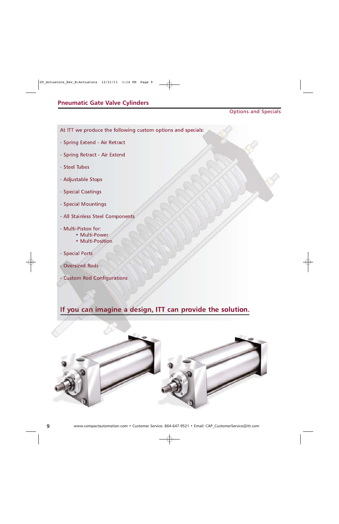### Options and Specials

At ITT we produce the following custom options and specials:

- Spring Extend Air Retract
- Spring Retract Air Extend
- Steel Tubes
- Adjustable Stops
- Special Coatings
- Special Mountings
- All Stainless Steel Components
- Multi-Piston for:
	- Multi-Power
	- Multi-Position
- Special Ports
- Oversized Rods
- Custom Rod Configurations

## **If you can imagine a design, ITT can provide the solution.**

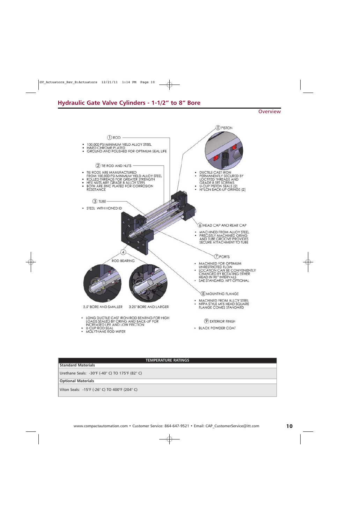### **Hydraulic Gate Valve Cylinders - 1-1/2" to 8" Bore**

**Overview** 



### **TEMPERATURE RATINGS**

### **Standard Materials**

Urethane Seals: -30°F (-40° C) TO 175°F (82° C)

**Optional Materials**

Viton Seals: -15°F (-26° C) TO 400°F (204° C)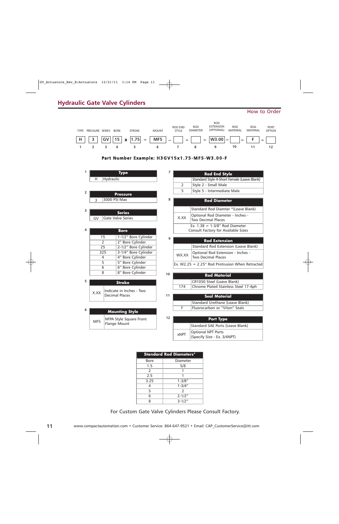## **Hydraulic Gate Valve Cylinders**

### How to Order



| <b>Standard Rod Diameters*</b> |               |  |  |  |  |  |  |  |
|--------------------------------|---------------|--|--|--|--|--|--|--|
| Bore                           | Diameter      |  |  |  |  |  |  |  |
| 1.5                            | 5/8           |  |  |  |  |  |  |  |
| 2                              |               |  |  |  |  |  |  |  |
| 2.5                            |               |  |  |  |  |  |  |  |
| 3.25                           | $1 - 3/8"$    |  |  |  |  |  |  |  |
|                                | $1 - 3/4"$    |  |  |  |  |  |  |  |
| 5                              | $\mathcal{P}$ |  |  |  |  |  |  |  |
| 6                              | $2 - 1/2"$    |  |  |  |  |  |  |  |
| Ջ                              | $3 - 1/2"$    |  |  |  |  |  |  |  |

For Custom Gate Valve Cylinders Please Consult Factory.

**11**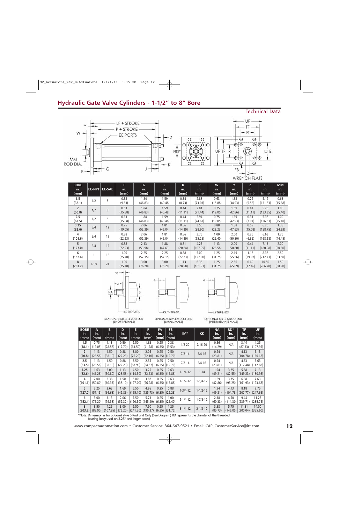## **Hydraulic Gate Valve Cylinders - 1-1/2" to 8" Bore**

### Technical Data



| <b>BORE</b><br>in.<br>(mm) |           | EE-NPT EE-SAE | F<br>in.<br>(mm) | G<br>in.<br>(mm) | J<br>in.<br>(mm) | K<br>in.<br>(mm) | P<br>in.<br>(mm) | W<br>in.<br>(mm) | Y<br>in.<br>(mm) | Z.<br>in.<br>(mm) | LF.<br>in.<br>(mm) | <b>MM</b><br>in.<br>(mm) |
|----------------------------|-----------|---------------|------------------|------------------|------------------|------------------|------------------|------------------|------------------|-------------------|--------------------|--------------------------|
| 1.5<br>(38.1)              | 1/2       | 8             | 0.38<br>(9.53)   | 1.84<br>(46.83)  | 1.59<br>(40.48)  | 0.34<br>(8.73)   | 2.88<br>(73.03)  | 0.63<br>(15.88)  | 1.38<br>(34.93)  | 0.22<br>(5.56)    | 5.19<br>(131.83)   | 0.63<br>(15.88)          |
| $\overline{2}$<br>(50.8)   | 1/2       | 8             | 0.63<br>(15.88)  | 1.84<br>(46.83)  | 1.59<br>(40.48)  | 0.44<br>(11.11)  | 2.81<br>(71.44)  | 0.75<br>(19.05)  | 1.69<br>(42.86)  | 0.44<br>(11.11)   | 5.25<br>(133.35)   | 1.00<br>(25.40)          |
| 2.5<br>(63.5)              | 1/2       | 8             | 0.63<br>(15.88)  | 1.84<br>(46.83)  | 1.59<br>(40.48)  | 0.44<br>(11.11)  | 2.94<br>(74.61)  | 0.75<br>(19.05)  | 1.69<br>(42.93)  | 0.31<br>(7.94)    | 5.38<br>(136.53)   | 1.00<br>(25.40)          |
| 3.25<br>(82.6)             | 3/4       | 12            | 0.75<br>(19.05)  | 2.06<br>(52.39)  | 1.81<br>(46.04)  | 0.56<br>(14.29)  | 3.50<br>(88.90)  | 0.88<br>(22.23)  | 1.88<br>(47.63)  | 0.59<br>(15.08)   | 6.25<br>(158.75)   | 1.38<br>(34.93)          |
| 4<br>(101.6)               | 3/4       | 12            | 0.88<br>(22.23)  | 2.06<br>(52.39)  | 1.81<br>(46.04)  | 0.56<br>(14.29)  | 3.75<br>(95.25)  | 1.00<br>(25.40)  | 2.00<br>(50.80)  | 0.25<br>(6.35)    | 6.63<br>(168.28)   | 1.75<br>(44.45)          |
| 5<br>(127.0)               | 3/4       | 12            | 0.88<br>(22.23)  | 2.13<br>(53.98)  | 1.88<br>(47.63)  | 0.81<br>(20.64)  | 4.25<br>(107.95) | 1.13<br>(28.58)  | 2.00<br>(50.80)  | 0.44<br>(11.11)   | 7.13<br>(180.98)   | 2.00<br>(50.80)          |
| 6<br>(152.4)               |           | 16            | 1.00<br>(25.40)  | 2.25<br>(57.15)  | 2.25<br>(57.15)  | 0.88<br>(22.23)  | 5.00<br>(127.00) | 1.25<br>(31.75)  | 2.19<br>(55.56)  | 1.18<br>(29.97)   | 8.38<br>(212.73)   | 2.50<br>(63.50)          |
| 8<br>(203.2)               | $1 - 1/4$ | 24            | 1.00<br>(25.40)  | 3.00<br>(76.20)  | 3.00<br>(76.20)  | 1.13<br>(28.58)  | 6.38<br>(161.93) | 1.25<br>(31.75)  | 2.56<br>(65.09)  | 0.69<br>(17.46)   | 10.50<br>(266.70)  | 3.50<br>(88.90)          |





A IM THREADS

STANDARD STYLE 4 ROD END<br>(SHORT FEMALE)

OPTIONAL STYLE 2 ROD END<br>(SMALL MALE)



| <b>BORE</b>    | A           | B           | D           | Е           | R                   | <b>FA</b>   | <b>FB</b>   |                |                | <b>NA</b>   | $RD^*$      | TF          | UF          |
|----------------|-------------|-------------|-------------|-------------|---------------------|-------------|-------------|----------------|----------------|-------------|-------------|-------------|-------------|
| in.<br>(mm)    | in.<br>(mm) | in.<br>(mm) | in.<br>(mm) | in.<br>(mm) | in.<br>(mm)         | in.<br>(mm) | in.<br>(mm) | $IM^*$         | <b>KK</b>      | in.<br>(mm) | in.<br>(mm) | in.<br>(mm) | in.<br>(mm) |
| 1.5            | 0.75        | 1.13        | 0.50        | 2.50        | 1.63                | 0.25        | 0.38        |                |                | 0.56        |             | 3.44        | 4.25        |
| (38.1)         | (19.05)     | (28.58)     | (12.70)     | (63.50)     | (41.28)             | (6.35)      | (9.53)      | $1/2 - 20$     | $7/16 - 20$    | (14.29)     | N/A         | (87.33)     | (107.95)    |
| $\overline{2}$ | 1.13        | 1.50        | 0.88        | 3.00        | 2.05                | 0.25        | 0.50        | $7/8 - 14$     | $3/4 - 16$     | 0.94        | N/A         | 4.13        | 5.13        |
| (50.8)         | (28.58)     | (38.10)     | (22.23)     | (76.20)     | (52.10)             | (6.35)      | (12.70)     |                |                | (23.81)     |             | (104.78)    | (130.18)    |
| 2.5            | 1.13        | 1.50        | 0.88        | 3.50        | 2.55                | 0.25        | 0.50        | $7/8 - 14$     | $3/4 - 16$     | 0.94        | N/A         | 4.63        | 5.63        |
| (63.5)         | (28.58)     | (38.10)     | (22.23)     | (88.90)     | (64.67)             | (6.35)      | (12.70)     |                |                | (23.81)     |             | (117.48)    | (142.88)    |
| 3.25           | 1.63        | 2.00        | 1.13        | 4.50        | 3.25                | 0.25        | 0.63        | $1 - 1/4 - 12$ | $1 - 14$       | 1.94        | 3.25        | 5.88        | 7.13        |
| (82.6)         | (41.28)     | (50.80)     | (28.58)     | (114.30)    | (82.63)             | (6.35)      | (15.88)     |                |                | (49.21)     | (82.55)     | (149.23)    | (180.98)    |
| 4              | 2.00        | 2.38        | 1.50        | 5.00        | 3.82                | 0.25        | 0.63        | $1 - 1/2 - 12$ | $1 - 1/4 - 12$ | 1.69        | 3.75        | 6.38        | 7.63        |
| (101.6)        | (50.80)     | (60.33)     | (38.10)     | (127.00)    | (96.98)             | (6.35)      | (15.88)     |                |                | (42.86)     | (95.25)     | (161.93)    | (193.68)    |
| 5              | 2.25        | 2.63        | 1.69        | 6.50        | 4.95                | 0.25        | 0.88        | $1 - 3/4 - 12$ | $1 - 1/2 - 12$ | 1.94        | 4.13        | 8.18        | 9.75        |
| (127.0)        | (57.15)     | (66.68)     | (42.86)     |             | $(165.10)$ (125.73) | (6.35)      | (22.23)     |                |                | (49.21)     | (104.78)    | (207.77)    | (247.65)    |
| 6              | 3.00        | 3.13        | 2.06        | 7.50        | 5.73                | 0.25        | 1.00        | $2 - 1/4 - 12$ | $1 - 7/8 - 12$ | 2.38        | 4.50        | 9.44        | 11.25       |
| (152.4)        | (76.20)     | (79.38)     | (52.32)     |             | (190.50) (145.49)   | (6.35)      | (25.40)     |                |                | (60.33)     | (114.30)    | (239.71)    | (285.75)    |
| 8              | 3.50        | 4.25        | 3.00        | 9.50        | 7.50                | 0.25        | 1.25        | $3-1/4-12$     | $2 - 1/2 - 12$ | 3.38        | 5.75        | 11.81       | 14.00       |
| (203.2)        | (88.90)     | (107.95)    | (76.20)     |             | $(241.30)$ (190.37) | (6.35)      | (31.75)     |                |                | (85.73)     | (146.05)    | (300.04)    | (355.60)    |

\*Note: Dimension is for optional style 5 Rod End Only (See Diagram) RD represents the diamter of the threaded bearing (only used on 3.25" and larger bores)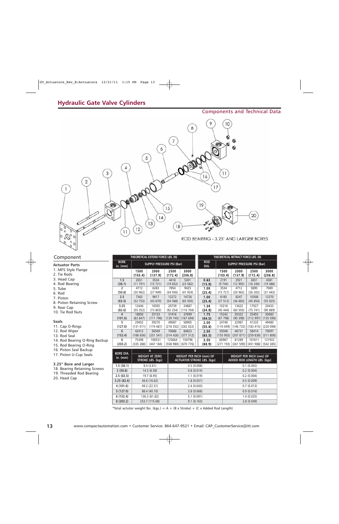### Components and Technical Data



### Component

### **Actuator Parts**

1. MF5 Style Flange 2. Tie Rods 3. Head Cap 4. Rod Bearing 5. Tube 6. Rod

- 7. Piston
- 8. Piston Retaining Screw
- 9. Rear Cap
- 10. Tie Rod Nuts

#### **Seals**

11. Cap O-Rings

- 12. Rod Wiper
- 13. Rod Seal
- 14. Rod Bearing O-Ring Backup
- 15. Rod Bearing O-Ring
- 16. Piston Seal Backup
- 17. Piston U-Cup Seals

### **3.25" Bore and Larger**

- 18. Bearing Retaining Screws
- 19. Threaded Rod Bearing
- 20. Head Cap

|                           |                 | THEORETICAL EXTEND FORCE LBS. (N) | THEORETICAL RETRACT FORCE LBS. (N) |                 |                    |                                  |                 |                 |                 |  |
|---------------------------|-----------------|-----------------------------------|------------------------------------|-----------------|--------------------|----------------------------------|-----------------|-----------------|-----------------|--|
| <b>BORE</b><br>in. $(mm)$ |                 | <b>SUPPLY PRESSURE PSI (Bar)</b>  |                                    |                 | <b>ROD</b><br>DIA. | <b>SUPPLY PRESSURE PSI (Bar)</b> |                 |                 |                 |  |
|                           | 1500<br>(103.4) | 2000<br>(137.9)                   | 2500<br>(172.4)                    | 3000<br>(206.8) |                    | 1500<br>(103.4)                  | 2000<br>(137.9) | 2500<br>(172.4) | 3000<br>(206.8) |  |
| 1.5                       | 2651            | 3534                              | 4418                               | 5301            | 0.63               | 2191                             | 2921            | 3651            | 4381            |  |
| (38.1)                    | (11791)         | (15721)                           | (19652)                            | (23 582)        | (15.9)             | (9744)                           | (12992)         | (16240)         | (19, 488)       |  |
| 2                         | 4712            | 6283                              | 7854                               | 9425            | 1.00               | 3534                             | 4712            | 5890            | 7069            |  |
| (50.8)                    | (20962)         | (27949)                           | (34936)                            | (41 924)        | (25.4)             | (15721)                          | (20962)         | (26 202)        | (31 443)        |  |
| 2.5                       | 7363            | 9817                              | 12272                              | 14726           | 1.00               | 6185                             | 8247            | 10308           | 12370           |  |
| (63.5)                    | (32753)         | (43670)                           | (54 588)                           | (65 505)        | (25.4)             | (27 512)                         | (36683)         | (45854)         | (55025)         |  |
| 3.25                      | 12444           | 16592                             | 20739                              | 24887           | 1.38               | 10216                            | 13622           | 17027           | 20433           |  |
| (82.6)                    | (55352)         | (73803)                           | (92 254)                           | (110704)        | (34.9)             | (45, 444)                        | (60 593)        | (75, 741)       | (90889)         |  |
| 4                         | 18850           | 25133                             | 31416                              | 37699           | 1.75               | 15242                            | 20322           | 25403           | 30483           |  |
| (101.6)                   | (83 847)        | (111796)                          | (139745)                           | (167694)        | (44.5)             | (67, 798)                        | (90, 398)       | (112997)        | (135 596)       |  |
| 5                         | 29452           | 39270                             | 49087                              | 58905           | 2.00               | 24740                            | 32987           | 41233           | 49480           |  |
| (127.0)                   | (131011)        | (174681)                          | (218352)                           | (262 022)       | (50.8)             | (110049)                         | (146732)        | (183 415)       | (220 098)       |  |
| 6                         | 42412           | 56549                             | 70686                              | 84823           | 2.50               | 35048                            | 46731           | 58414           | 70097           |  |
| (152.4)                   | (188656)        | (251 541)                         | (314 426)                          | (377312)        | (63.5)             | (155903)                         | (207871)        | (259838)        | (311806)        |  |
| 8                         | 75398           | 100531                            | 125664                             | 150796          | 3.50               | 60967                            | 81289           | 101611          | 121933          |  |
| (203.2)                   | (335 388)       | (447 184)                         | (558980)                           | (670776)        | (88.9)             | (271193)                         | (361 590)       | (451988)        | (542 385)       |  |

| <b>BORE DIA.</b> | A                                          | В                                                            |                                                        |  |  |  |  |
|------------------|--------------------------------------------|--------------------------------------------------------------|--------------------------------------------------------|--|--|--|--|
| in. $(mm)$       | <b>WEIGHT AT ZERO</b><br>STROKE LBS. (kgs) | WEIGHT PER INCH (mm) OF<br><b>ACTUATOR STROKE LBS. (kgs)</b> | WEIGHT PER INCH (mm) OF<br>ADDED ROD LENGTH LBS. (kgs) |  |  |  |  |
| 1.5(38.1)        | 8.4(3.81)                                  | 0.5(0.008)                                                   | 0.1(0.002)                                             |  |  |  |  |
| 2(50.8)          | 14.5(6.58)                                 | 0.8(0.014)                                                   | 0.2(0.004)                                             |  |  |  |  |
| 2.5(63.5)        | 19.7 (8.95)                                | 1.1(0.019)                                                   | 0.2(0.004)                                             |  |  |  |  |
| 3.25(82.6)       | 36.6 (16.62)                               | 1.8(0.031)                                                   | 0.5(0.009)                                             |  |  |  |  |
| 4(101.6)         | 49.2 (22.31)                               | 2.4(0.043)                                                   | 0.7(0.013)                                             |  |  |  |  |
| 5(127.0)         | 88.4 (40.10)                               | 3.8(0.068)                                                   | 0.9(0.016)                                             |  |  |  |  |
| 6(152.4)         | 136.3 (61.82)                              | 5.1(0.091)                                                   | 1.4(0.025)                                             |  |  |  |  |
| 8(203.2)         | 253.7 (115.08)                             | 9.1(0.163)                                                   | 2.8(0.049)                                             |  |  |  |  |

\*Total actutor weight lbs. (kgs.) =  $A + (B \times \text{Stroke}) + (C \times \text{Added Rod Length})$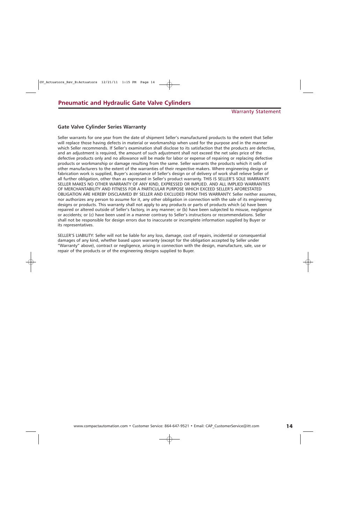### **Gate Valve Cylinder Series Warranty**

Seller warrants for one year from the date of shipment Seller's manufactured products to the extent that Seller will replace those having defects in material or workmanship when used for the purpose and in the manner which Seller recommends. If Seller's examination shall disclose to its satisfaction that the products are defective, and an adjustment is required, the amount of such adjustment shall not exceed the net sales price of the defective products only and no allowance will be made for labor or expense of repairing or replacing defective products or workmanship or damage resulting from the same. Seller warrants the products which it sells of other manufacturers to the extent of the warranties of their respective makers. Where engineering design or fabrication work is supplied, Buyer's acceptance of Seller's design or of delivery of work shall relieve Seller of all further obligation, other than as expressed in Seller's product warranty. THIS IS SELLER'S SOLE WARRANTY. SELLER MAKES NO OTHER WARRANTY OF ANY KIND, EXPRESSED OR IMPLIED. AND ALL IMPLIED WARRANTIES OF MERCHANTABILITY AND FITNESS FOR A PARTICULAR PURPOSE WHICH EXCEED SELLER'S AFORESTATED OBLIGATION ARE HEREBY DISCLAIMED BY SELLER AND EXCLUDED FROM THIS WARRANTY. Seller neither assumes, nor authorizes any person to assume for it, any other obligation in connection with the sale of its engineering designs or products. This warranty shall not apply to any products or parts of products which (a) have been repaired or altered outside of Seller's factory, in any manner; or (b) have been subjected to misuse, negligence or accidents; or (c) have been used in a manner contrary to Seller's instructions or recommendations. Seller shall not be responsible for design errors due to inaccurate or incomplete information supplied by Buyer or its representatives.

SELLER'S LIABILITY: Seller will not be liable for any loss, damage, cost of repairs, incidental or consequential damages of any kind, whether based upon warranty (except for the obligation accepted by Seller under "Warranty" above), contract or negligence, arising in connection with the design, manufacture, sale, use or repair of the products or of the engineering designs supplied to Buyer.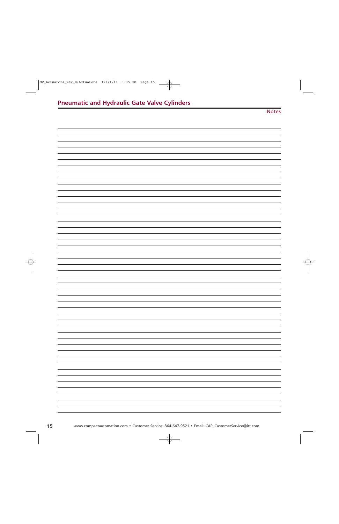Notes

| ۰ |
|---|
|   |
| ۰ |
|   |
|   |
| - |
|   |
| - |
|   |
|   |
| ۰ |
|   |
|   |